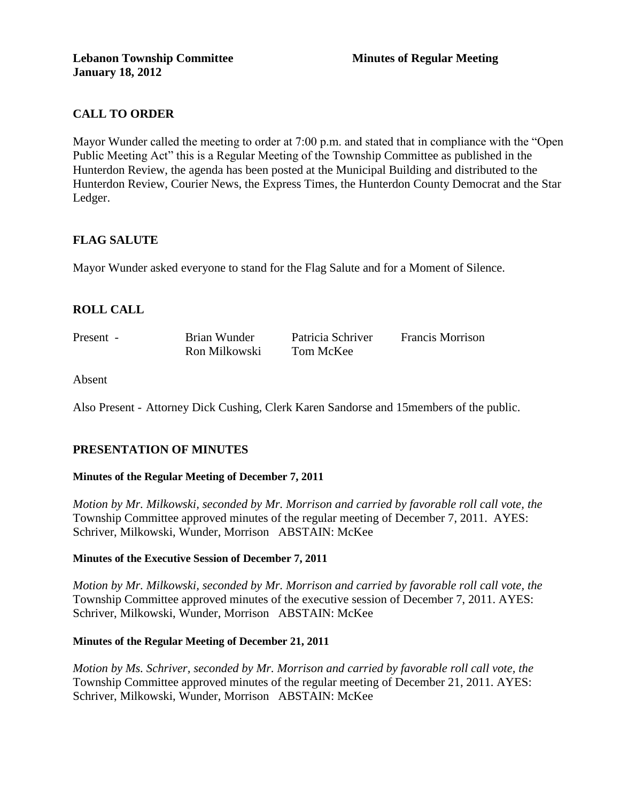# **CALL TO ORDER**

Mayor Wunder called the meeting to order at 7:00 p.m. and stated that in compliance with the "Open Public Meeting Act" this is a Regular Meeting of the Township Committee as published in the Hunterdon Review, the agenda has been posted at the Municipal Building and distributed to the Hunterdon Review, Courier News, the Express Times, the Hunterdon County Democrat and the Star Ledger.

## **FLAG SALUTE**

Mayor Wunder asked everyone to stand for the Flag Salute and for a Moment of Silence.

# **ROLL CALL**

| Present - | Brian Wunder  | Patricia Schriver | <b>Francis Morrison</b> |
|-----------|---------------|-------------------|-------------------------|
|           | Ron Milkowski | Tom McKee         |                         |

Absent

Also Present - Attorney Dick Cushing, Clerk Karen Sandorse and 15members of the public.

# **PRESENTATION OF MINUTES**

#### **Minutes of the Regular Meeting of December 7, 2011**

*Motion by Mr. Milkowski, seconded by Mr. Morrison and carried by favorable roll call vote, the* Township Committee approved minutes of the regular meeting of December 7, 2011. AYES: Schriver, Milkowski, Wunder, Morrison ABSTAIN: McKee

#### **Minutes of the Executive Session of December 7, 2011**

*Motion by Mr. Milkowski, seconded by Mr. Morrison and carried by favorable roll call vote, the* Township Committee approved minutes of the executive session of December 7, 2011. AYES: Schriver, Milkowski, Wunder, Morrison ABSTAIN: McKee

#### **Minutes of the Regular Meeting of December 21, 2011**

*Motion by Ms. Schriver, seconded by Mr. Morrison and carried by favorable roll call vote, the* Township Committee approved minutes of the regular meeting of December 21, 2011. AYES: Schriver, Milkowski, Wunder, Morrison ABSTAIN: McKee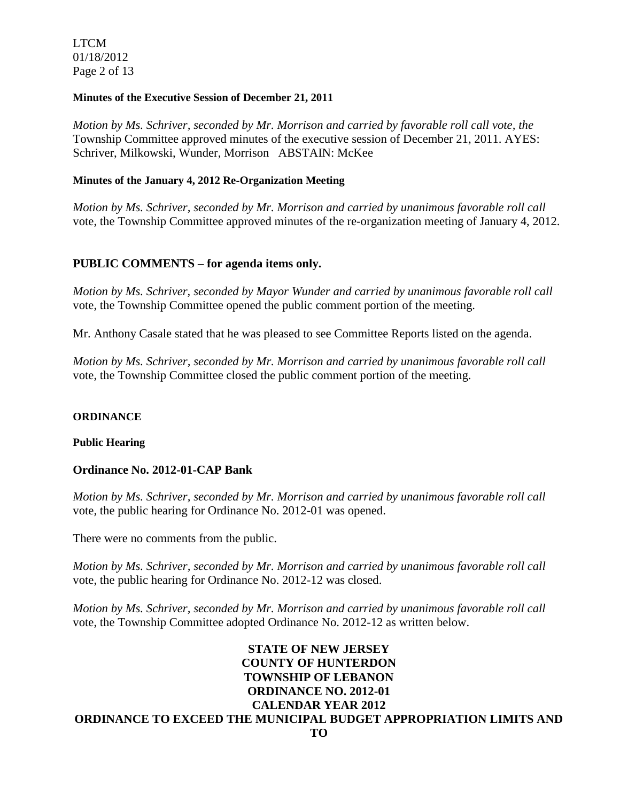LTCM 01/18/2012 Page 2 of 13

#### **Minutes of the Executive Session of December 21, 2011**

*Motion by Ms. Schriver, seconded by Mr. Morrison and carried by favorable roll call vote, the* Township Committee approved minutes of the executive session of December 21, 2011. AYES: Schriver, Milkowski, Wunder, Morrison ABSTAIN: McKee

### **Minutes of the January 4, 2012 Re-Organization Meeting**

*Motion by Ms. Schriver, seconded by Mr. Morrison and carried by unanimous favorable roll call*  vote, the Township Committee approved minutes of the re-organization meeting of January 4, 2012.

### **PUBLIC COMMENTS – for agenda items only.**

*Motion by Ms. Schriver, seconded by Mayor Wunder and carried by unanimous favorable roll call*  vote, the Township Committee opened the public comment portion of the meeting.

Mr. Anthony Casale stated that he was pleased to see Committee Reports listed on the agenda.

*Motion by Ms. Schriver, seconded by Mr. Morrison and carried by unanimous favorable roll call*  vote, the Township Committee closed the public comment portion of the meeting.

#### **ORDINANCE**

#### **Public Hearing**

## **Ordinance No. 2012-01-CAP Bank**

*Motion by Ms. Schriver, seconded by Mr. Morrison and carried by unanimous favorable roll call*  vote*,* the public hearing for Ordinance No. 2012-01 was opened.

There were no comments from the public.

*Motion by Ms. Schriver, seconded by Mr. Morrison and carried by unanimous favorable roll call*  vote, the public hearing for Ordinance No. 2012-12 was closed.

*Motion by Ms. Schriver, seconded by Mr. Morrison and carried by unanimous favorable roll call*  vote, the Township Committee adopted Ordinance No. 2012-12 as written below.

## **STATE OF NEW JERSEY COUNTY OF HUNTERDON TOWNSHIP OF LEBANON ORDINANCE NO. 2012-01 CALENDAR YEAR 2012 ORDINANCE TO EXCEED THE MUNICIPAL BUDGET APPROPRIATION LIMITS AND TO**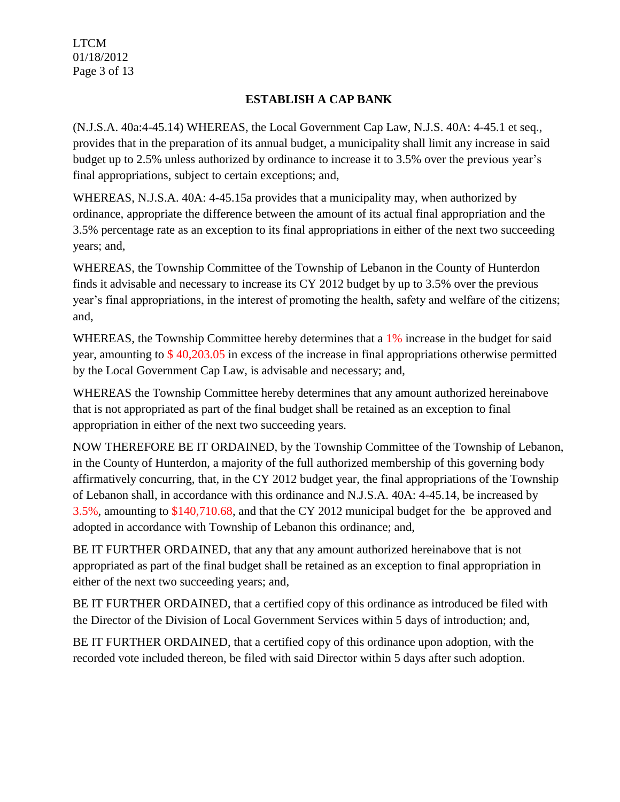LTCM 01/18/2012 Page 3 of 13

# **ESTABLISH A CAP BANK**

(N.J.S.A. 40a:4-45.14) WHEREAS, the Local Government Cap Law, N.J.S. 40A: 4-45.1 et seq., provides that in the preparation of its annual budget, a municipality shall limit any increase in said budget up to 2.5% unless authorized by ordinance to increase it to 3.5% over the previous year's final appropriations, subject to certain exceptions; and,

WHEREAS, N.J.S.A. 40A: 4-45.15a provides that a municipality may, when authorized by ordinance, appropriate the difference between the amount of its actual final appropriation and the 3.5% percentage rate as an exception to its final appropriations in either of the next two succeeding years; and,

WHEREAS, the Township Committee of the Township of Lebanon in the County of Hunterdon finds it advisable and necessary to increase its CY 2012 budget by up to 3.5% over the previous year's final appropriations, in the interest of promoting the health, safety and welfare of the citizens; and,

WHEREAS, the Township Committee hereby determines that a 1% increase in the budget for said year, amounting to \$ 40,203.05 in excess of the increase in final appropriations otherwise permitted by the Local Government Cap Law, is advisable and necessary; and,

WHEREAS the Township Committee hereby determines that any amount authorized hereinabove that is not appropriated as part of the final budget shall be retained as an exception to final appropriation in either of the next two succeeding years.

NOW THEREFORE BE IT ORDAINED, by the Township Committee of the Township of Lebanon, in the County of Hunterdon, a majority of the full authorized membership of this governing body affirmatively concurring, that, in the CY 2012 budget year, the final appropriations of the Township of Lebanon shall, in accordance with this ordinance and N.J.S.A. 40A: 4-45.14, be increased by 3.5%, amounting to \$140,710.68, and that the CY 2012 municipal budget for the be approved and adopted in accordance with Township of Lebanon this ordinance; and,

BE IT FURTHER ORDAINED, that any that any amount authorized hereinabove that is not appropriated as part of the final budget shall be retained as an exception to final appropriation in either of the next two succeeding years; and,

BE IT FURTHER ORDAINED, that a certified copy of this ordinance as introduced be filed with the Director of the Division of Local Government Services within 5 days of introduction; and,

BE IT FURTHER ORDAINED, that a certified copy of this ordinance upon adoption, with the recorded vote included thereon, be filed with said Director within 5 days after such adoption.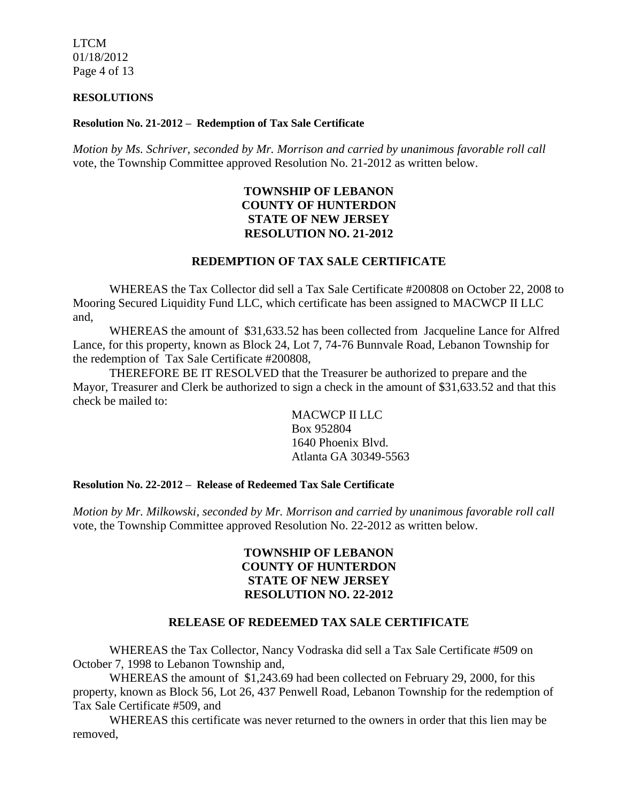LTCM 01/18/2012 Page 4 of 13

#### **RESOLUTIONS**

#### **Resolution No. 21-2012 – Redemption of Tax Sale Certificate**

*Motion by Ms. Schriver, seconded by Mr. Morrison and carried by unanimous favorable roll call*  vote, the Township Committee approved Resolution No. 21-2012 as written below.

# **TOWNSHIP OF LEBANON COUNTY OF HUNTERDON STATE OF NEW JERSEY RESOLUTION NO. 21-2012**

## **REDEMPTION OF TAX SALE CERTIFICATE**

WHEREAS the Tax Collector did sell a Tax Sale Certificate #200808 on October 22, 2008 to Mooring Secured Liquidity Fund LLC, which certificate has been assigned to MACWCP II LLC and,

WHEREAS the amount of \$31,633.52 has been collected from Jacqueline Lance for Alfred Lance, for this property, known as Block 24, Lot 7, 74-76 Bunnvale Road, Lebanon Township for the redemption of Tax Sale Certificate #200808,

THEREFORE BE IT RESOLVED that the Treasurer be authorized to prepare and the Mayor, Treasurer and Clerk be authorized to sign a check in the amount of \$31,633.52 and that this check be mailed to:

> MACWCP II LLC Box 952804 1640 Phoenix Blvd. Atlanta GA 30349-5563

#### **Resolution No. 22-2012 – Release of Redeemed Tax Sale Certificate**

*Motion by Mr. Milkowski, seconded by Mr. Morrison and carried by unanimous favorable roll call*  vote, the Township Committee approved Resolution No. 22-2012 as written below.

## **TOWNSHIP OF LEBANON COUNTY OF HUNTERDON STATE OF NEW JERSEY RESOLUTION NO. 22-2012**

#### **RELEASE OF REDEEMED TAX SALE CERTIFICATE**

WHEREAS the Tax Collector, Nancy Vodraska did sell a Tax Sale Certificate #509 on October 7, 1998 to Lebanon Township and,

WHEREAS the amount of \$1,243.69 had been collected on February 29, 2000, for this property, known as Block 56, Lot 26, 437 Penwell Road, Lebanon Township for the redemption of Tax Sale Certificate #509, and

WHEREAS this certificate was never returned to the owners in order that this lien may be removed,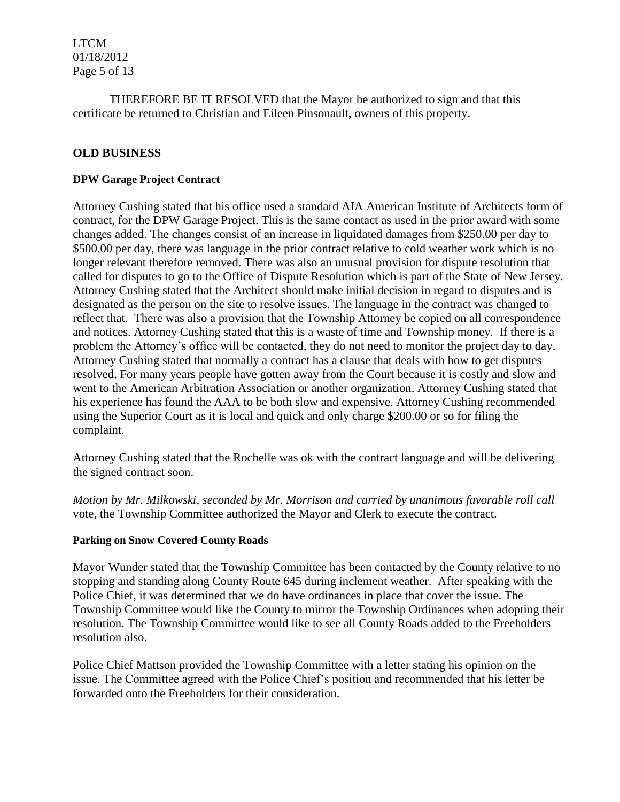LTCM 01/18/2012 Page 5 of 13

THEREFORE BE IT RESOLVED that the Mayor be authorized to sign and that this certificate be returned to Christian and Eileen Pinsonault, owners of this property.

## **OLD BUSINESS**

### **DPW Garage Project Contract**

Attorney Cushing stated that his office used a standard AIA American Institute of Architects form of contract, for the DPW Garage Project. This is the same contact as used in the prior award with some changes added. The changes consist of an increase in liquidated damages from \$250.00 per day to \$500.00 per day, there was language in the prior contract relative to cold weather work which is no longer relevant therefore removed. There was also an unusual provision for dispute resolution that called for disputes to go to the Office of Dispute Resolution which is part of the State of New Jersey. Attorney Cushing stated that the Architect should make initial decision in regard to disputes and is designated as the person on the site to resolve issues. The language in the contract was changed to reflect that. There was also a provision that the Township Attorney be copied on all correspondence and notices. Attorney Cushing stated that this is a waste of time and Township money. If there is a problem the Attorney's office will be contacted, they do not need to monitor the project day to day. Attorney Cushing stated that normally a contract has a clause that deals with how to get disputes resolved. For many years people have gotten away from the Court because it is costly and slow and went to the American Arbitration Association or another organization. Attorney Cushing stated that his experience has found the AAA to be both slow and expensive. Attorney Cushing recommended using the Superior Court as it is local and quick and only charge \$200.00 or so for filing the complaint.

Attorney Cushing stated that the Rochelle was ok with the contract language and will be delivering the signed contract soon.

*Motion by Mr. Milkowski, seconded by Mr. Morrison and carried by unanimous favorable roll call*  vote, the Township Committee authorized the Mayor and Clerk to execute the contract.

### **Parking on Snow Covered County Roads**

Mayor Wunder stated that the Township Committee has been contacted by the County relative to no stopping and standing along County Route 645 during inclement weather. After speaking with the Police Chief, it was determined that we do have ordinances in place that cover the issue. The Township Committee would like the County to mirror the Township Ordinances when adopting their resolution. The Township Committee would like to see all County Roads added to the Freeholders resolution also.

Police Chief Mattson provided the Township Committee with a letter stating his opinion on the issue. The Committee agreed with the Police Chief's position and recommended that his letter be forwarded onto the Freeholders for their consideration.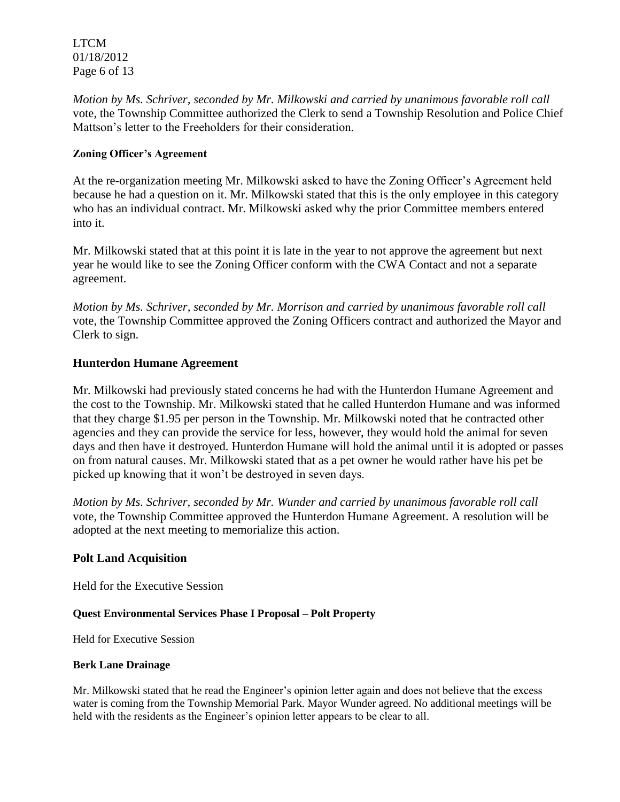LTCM 01/18/2012 Page 6 of 13

*Motion by Ms. Schriver, seconded by Mr. Milkowski and carried by unanimous favorable roll call*  vote, the Township Committee authorized the Clerk to send a Township Resolution and Police Chief Mattson's letter to the Freeholders for their consideration.

## **Zoning Officer's Agreement**

At the re-organization meeting Mr. Milkowski asked to have the Zoning Officer's Agreement held because he had a question on it. Mr. Milkowski stated that this is the only employee in this category who has an individual contract. Mr. Milkowski asked why the prior Committee members entered into it.

Mr. Milkowski stated that at this point it is late in the year to not approve the agreement but next year he would like to see the Zoning Officer conform with the CWA Contact and not a separate agreement.

*Motion by Ms. Schriver, seconded by Mr. Morrison and carried by unanimous favorable roll call*  vote, the Township Committee approved the Zoning Officers contract and authorized the Mayor and Clerk to sign.

## **Hunterdon Humane Agreement**

Mr. Milkowski had previously stated concerns he had with the Hunterdon Humane Agreement and the cost to the Township. Mr. Milkowski stated that he called Hunterdon Humane and was informed that they charge \$1.95 per person in the Township. Mr. Milkowski noted that he contracted other agencies and they can provide the service for less, however, they would hold the animal for seven days and then have it destroyed. Hunterdon Humane will hold the animal until it is adopted or passes on from natural causes. Mr. Milkowski stated that as a pet owner he would rather have his pet be picked up knowing that it won't be destroyed in seven days.

*Motion by Ms. Schriver, seconded by Mr. Wunder and carried by unanimous favorable roll call*  vote, the Township Committee approved the Hunterdon Humane Agreement. A resolution will be adopted at the next meeting to memorialize this action.

### **Polt Land Acquisition**

Held for the Executive Session

### **Quest Environmental Services Phase I Proposal – Polt Property**

Held for Executive Session

### **Berk Lane Drainage**

Mr. Milkowski stated that he read the Engineer's opinion letter again and does not believe that the excess water is coming from the Township Memorial Park. Mayor Wunder agreed. No additional meetings will be held with the residents as the Engineer's opinion letter appears to be clear to all.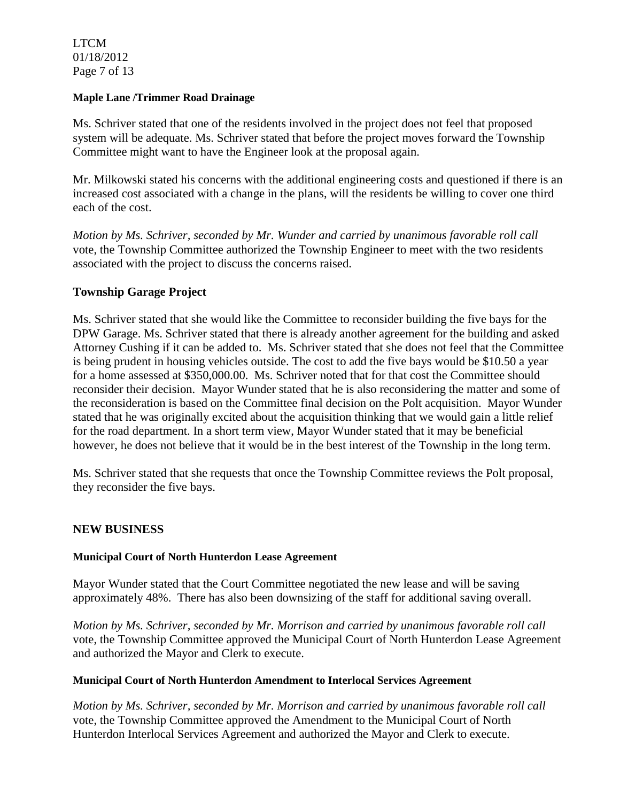LTCM 01/18/2012 Page 7 of 13

### **Maple Lane /Trimmer Road Drainage**

Ms. Schriver stated that one of the residents involved in the project does not feel that proposed system will be adequate. Ms. Schriver stated that before the project moves forward the Township Committee might want to have the Engineer look at the proposal again.

Mr. Milkowski stated his concerns with the additional engineering costs and questioned if there is an increased cost associated with a change in the plans, will the residents be willing to cover one third each of the cost.

*Motion by Ms. Schriver, seconded by Mr. Wunder and carried by unanimous favorable roll call*  vote, the Township Committee authorized the Township Engineer to meet with the two residents associated with the project to discuss the concerns raised.

## **Township Garage Project**

Ms. Schriver stated that she would like the Committee to reconsider building the five bays for the DPW Garage. Ms. Schriver stated that there is already another agreement for the building and asked Attorney Cushing if it can be added to. Ms. Schriver stated that she does not feel that the Committee is being prudent in housing vehicles outside. The cost to add the five bays would be \$10.50 a year for a home assessed at \$350,000.00. Ms. Schriver noted that for that cost the Committee should reconsider their decision. Mayor Wunder stated that he is also reconsidering the matter and some of the reconsideration is based on the Committee final decision on the Polt acquisition. Mayor Wunder stated that he was originally excited about the acquisition thinking that we would gain a little relief for the road department. In a short term view, Mayor Wunder stated that it may be beneficial however, he does not believe that it would be in the best interest of the Township in the long term.

Ms. Schriver stated that she requests that once the Township Committee reviews the Polt proposal, they reconsider the five bays.

### **NEW BUSINESS**

### **Municipal Court of North Hunterdon Lease Agreement**

Mayor Wunder stated that the Court Committee negotiated the new lease and will be saving approximately 48%. There has also been downsizing of the staff for additional saving overall.

*Motion by Ms. Schriver, seconded by Mr. Morrison and carried by unanimous favorable roll call*  vote, the Township Committee approved the Municipal Court of North Hunterdon Lease Agreement and authorized the Mayor and Clerk to execute.

### **Municipal Court of North Hunterdon Amendment to Interlocal Services Agreement**

*Motion by Ms. Schriver, seconded by Mr. Morrison and carried by unanimous favorable roll call*  vote, the Township Committee approved the Amendment to the Municipal Court of North Hunterdon Interlocal Services Agreement and authorized the Mayor and Clerk to execute.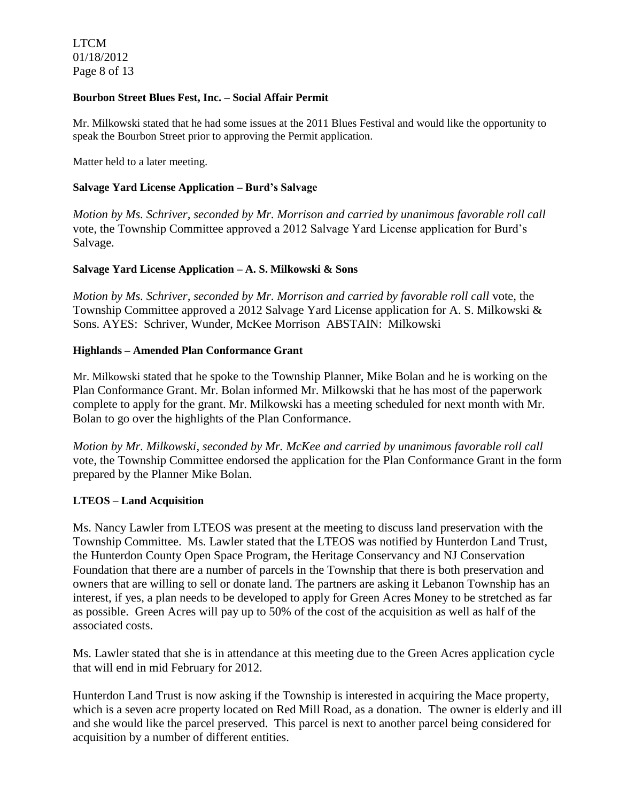LTCM 01/18/2012 Page 8 of 13

#### **Bourbon Street Blues Fest, Inc. – Social Affair Permit**

Mr. Milkowski stated that he had some issues at the 2011 Blues Festival and would like the opportunity to speak the Bourbon Street prior to approving the Permit application.

Matter held to a later meeting.

### **Salvage Yard License Application – Burd's Salvage**

*Motion by Ms. Schriver, seconded by Mr. Morrison and carried by unanimous favorable roll call*  vote, the Township Committee approved a 2012 Salvage Yard License application for Burd's Salvage.

### **Salvage Yard License Application – A. S. Milkowski & Sons**

*Motion by Ms. Schriver, seconded by Mr. Morrison and carried by favorable roll call* vote, the Township Committee approved a 2012 Salvage Yard License application for A. S. Milkowski & Sons. AYES: Schriver, Wunder, McKee Morrison ABSTAIN: Milkowski

### **Highlands – Amended Plan Conformance Grant**

Mr. Milkowski stated that he spoke to the Township Planner, Mike Bolan and he is working on the Plan Conformance Grant. Mr. Bolan informed Mr. Milkowski that he has most of the paperwork complete to apply for the grant. Mr. Milkowski has a meeting scheduled for next month with Mr. Bolan to go over the highlights of the Plan Conformance.

*Motion by Mr. Milkowski, seconded by Mr. McKee and carried by unanimous favorable roll call*  vote, the Township Committee endorsed the application for the Plan Conformance Grant in the form prepared by the Planner Mike Bolan.

### **LTEOS – Land Acquisition**

Ms. Nancy Lawler from LTEOS was present at the meeting to discuss land preservation with the Township Committee. Ms. Lawler stated that the LTEOS was notified by Hunterdon Land Trust, the Hunterdon County Open Space Program, the Heritage Conservancy and NJ Conservation Foundation that there are a number of parcels in the Township that there is both preservation and owners that are willing to sell or donate land. The partners are asking it Lebanon Township has an interest, if yes, a plan needs to be developed to apply for Green Acres Money to be stretched as far as possible. Green Acres will pay up to 50% of the cost of the acquisition as well as half of the associated costs.

Ms. Lawler stated that she is in attendance at this meeting due to the Green Acres application cycle that will end in mid February for 2012.

Hunterdon Land Trust is now asking if the Township is interested in acquiring the Mace property, which is a seven acre property located on Red Mill Road, as a donation. The owner is elderly and ill and she would like the parcel preserved. This parcel is next to another parcel being considered for acquisition by a number of different entities.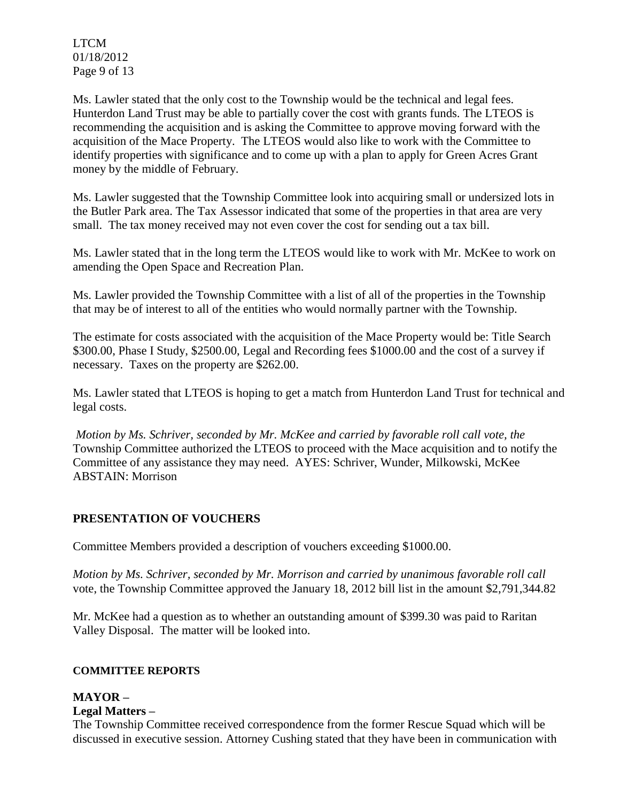LTCM 01/18/2012 Page 9 of 13

Ms. Lawler stated that the only cost to the Township would be the technical and legal fees. Hunterdon Land Trust may be able to partially cover the cost with grants funds. The LTEOS is recommending the acquisition and is asking the Committee to approve moving forward with the acquisition of the Mace Property. The LTEOS would also like to work with the Committee to identify properties with significance and to come up with a plan to apply for Green Acres Grant money by the middle of February.

Ms. Lawler suggested that the Township Committee look into acquiring small or undersized lots in the Butler Park area. The Tax Assessor indicated that some of the properties in that area are very small. The tax money received may not even cover the cost for sending out a tax bill.

Ms. Lawler stated that in the long term the LTEOS would like to work with Mr. McKee to work on amending the Open Space and Recreation Plan.

Ms. Lawler provided the Township Committee with a list of all of the properties in the Township that may be of interest to all of the entities who would normally partner with the Township.

The estimate for costs associated with the acquisition of the Mace Property would be: Title Search \$300.00, Phase I Study, \$2500.00, Legal and Recording fees \$1000.00 and the cost of a survey if necessary. Taxes on the property are \$262.00.

Ms. Lawler stated that LTEOS is hoping to get a match from Hunterdon Land Trust for technical and legal costs.

*Motion by Ms. Schriver, seconded by Mr. McKee and carried by favorable roll call vote, the* Township Committee authorized the LTEOS to proceed with the Mace acquisition and to notify the Committee of any assistance they may need. AYES: Schriver, Wunder, Milkowski, McKee ABSTAIN: Morrison

# **PRESENTATION OF VOUCHERS**

Committee Members provided a description of vouchers exceeding \$1000.00.

*Motion by Ms. Schriver, seconded by Mr. Morrison and carried by unanimous favorable roll call*  vote, the Township Committee approved the January 18, 2012 bill list in the amount \$2,791,344.82

Mr. McKee had a question as to whether an outstanding amount of \$399.30 was paid to Raritan Valley Disposal. The matter will be looked into.

### **COMMITTEE REPORTS**

#### **MAYOR – Legal Matters –**

The Township Committee received correspondence from the former Rescue Squad which will be discussed in executive session. Attorney Cushing stated that they have been in communication with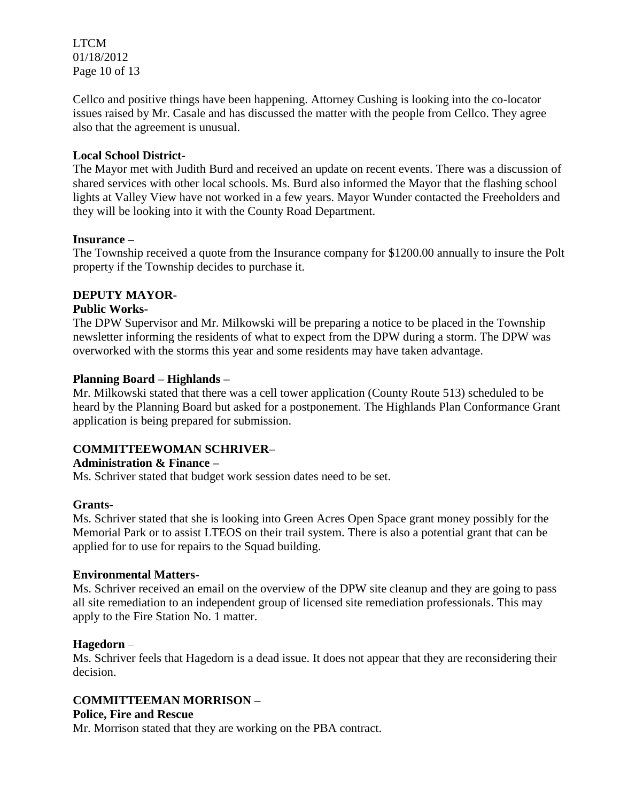LTCM 01/18/2012 Page 10 of 13

Cellco and positive things have been happening. Attorney Cushing is looking into the co-locator issues raised by Mr. Casale and has discussed the matter with the people from Cellco. They agree also that the agreement is unusual.

## **Local School District-**

The Mayor met with Judith Burd and received an update on recent events. There was a discussion of shared services with other local schools. Ms. Burd also informed the Mayor that the flashing school lights at Valley View have not worked in a few years. Mayor Wunder contacted the Freeholders and they will be looking into it with the County Road Department.

### **Insurance –**

The Township received a quote from the Insurance company for \$1200.00 annually to insure the Polt property if the Township decides to purchase it.

## **DEPUTY MAYOR-**

## **Public Works-**

The DPW Supervisor and Mr. Milkowski will be preparing a notice to be placed in the Township newsletter informing the residents of what to expect from the DPW during a storm. The DPW was overworked with the storms this year and some residents may have taken advantage.

## **Planning Board – Highlands –**

Mr. Milkowski stated that there was a cell tower application (County Route 513) scheduled to be heard by the Planning Board but asked for a postponement. The Highlands Plan Conformance Grant application is being prepared for submission.

# **COMMITTEEWOMAN SCHRIVER–**

## **Administration & Finance –**

Ms. Schriver stated that budget work session dates need to be set.

### **Grants-**

Ms. Schriver stated that she is looking into Green Acres Open Space grant money possibly for the Memorial Park or to assist LTEOS on their trail system. There is also a potential grant that can be applied for to use for repairs to the Squad building.

### **Environmental Matters-**

Ms. Schriver received an email on the overview of the DPW site cleanup and they are going to pass all site remediation to an independent group of licensed site remediation professionals. This may apply to the Fire Station No. 1 matter.

### **Hagedorn** –

Ms. Schriver feels that Hagedorn is a dead issue. It does not appear that they are reconsidering their decision.

# **COMMITTEEMAN MORRISON –**

### **Police, Fire and Rescue**

Mr. Morrison stated that they are working on the PBA contract.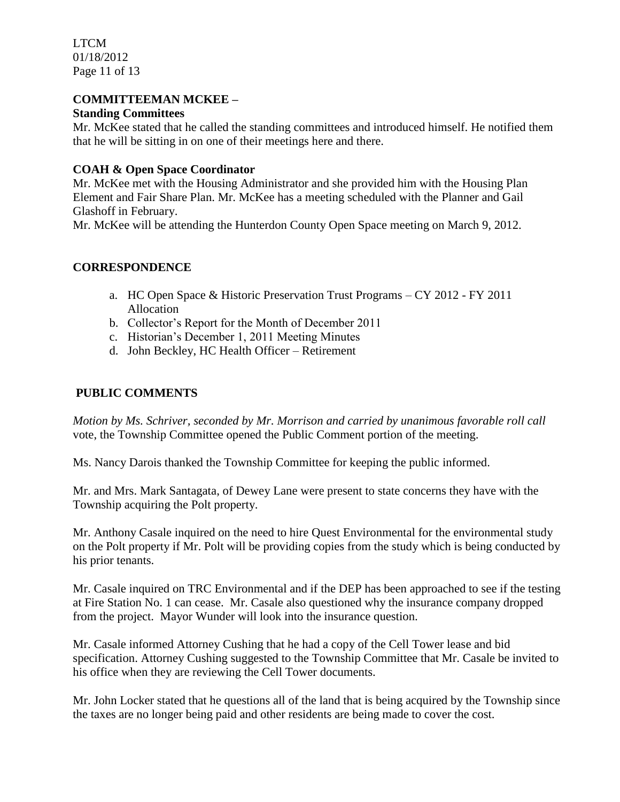LTCM 01/18/2012 Page 11 of 13

## **COMMITTEEMAN MCKEE –**

## **Standing Committees**

Mr. McKee stated that he called the standing committees and introduced himself. He notified them that he will be sitting in on one of their meetings here and there.

## **COAH & Open Space Coordinator**

Mr. McKee met with the Housing Administrator and she provided him with the Housing Plan Element and Fair Share Plan. Mr. McKee has a meeting scheduled with the Planner and Gail Glashoff in February.

Mr. McKee will be attending the Hunterdon County Open Space meeting on March 9, 2012.

# **CORRESPONDENCE**

- a. HC Open Space & Historic Preservation Trust Programs CY 2012 FY 2011 Allocation
- b. Collector's Report for the Month of December 2011
- c. Historian's December 1, 2011 Meeting Minutes
- d. John Beckley, HC Health Officer Retirement

# **PUBLIC COMMENTS**

*Motion by Ms. Schriver, seconded by Mr. Morrison and carried by unanimous favorable roll call*  vote, the Township Committee opened the Public Comment portion of the meeting.

Ms. Nancy Darois thanked the Township Committee for keeping the public informed.

Mr. and Mrs. Mark Santagata, of Dewey Lane were present to state concerns they have with the Township acquiring the Polt property.

Mr. Anthony Casale inquired on the need to hire Quest Environmental for the environmental study on the Polt property if Mr. Polt will be providing copies from the study which is being conducted by his prior tenants.

Mr. Casale inquired on TRC Environmental and if the DEP has been approached to see if the testing at Fire Station No. 1 can cease. Mr. Casale also questioned why the insurance company dropped from the project. Mayor Wunder will look into the insurance question.

Mr. Casale informed Attorney Cushing that he had a copy of the Cell Tower lease and bid specification. Attorney Cushing suggested to the Township Committee that Mr. Casale be invited to his office when they are reviewing the Cell Tower documents.

Mr. John Locker stated that he questions all of the land that is being acquired by the Township since the taxes are no longer being paid and other residents are being made to cover the cost.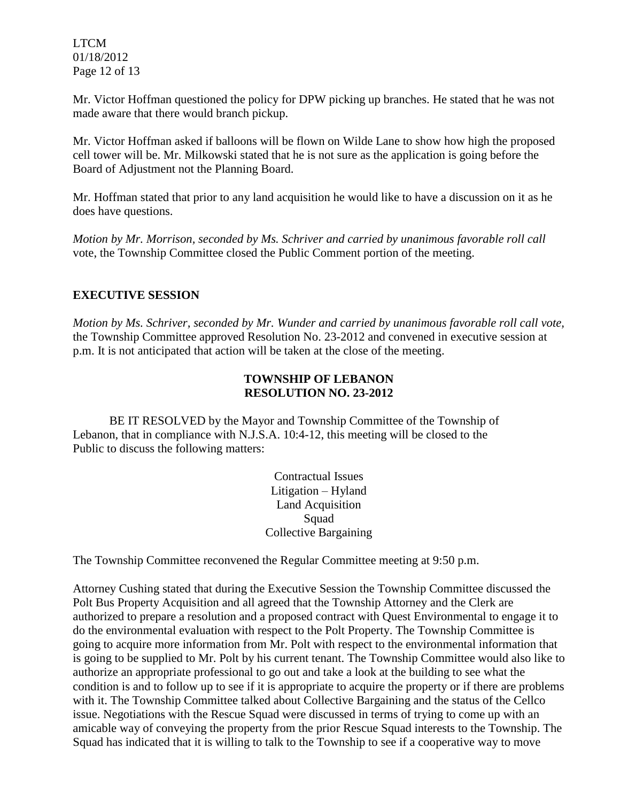LTCM 01/18/2012 Page 12 of 13

Mr. Victor Hoffman questioned the policy for DPW picking up branches. He stated that he was not made aware that there would branch pickup.

Mr. Victor Hoffman asked if balloons will be flown on Wilde Lane to show how high the proposed cell tower will be. Mr. Milkowski stated that he is not sure as the application is going before the Board of Adjustment not the Planning Board.

Mr. Hoffman stated that prior to any land acquisition he would like to have a discussion on it as he does have questions.

*Motion by Mr. Morrison, seconded by Ms. Schriver and carried by unanimous favorable roll call*  vote, the Township Committee closed the Public Comment portion of the meeting.

## **EXECUTIVE SESSION**

*Motion by Ms. Schriver, seconded by Mr. Wunder and carried by unanimous favorable roll call vote,* the Township Committee approved Resolution No. 23-2012 and convened in executive session at p.m. It is not anticipated that action will be taken at the close of the meeting.

# **TOWNSHIP OF LEBANON RESOLUTION NO. 23-2012**

BE IT RESOLVED by the Mayor and Township Committee of the Township of Lebanon, that in compliance with N.J.S.A. 10:4-12, this meeting will be closed to the Public to discuss the following matters:

> Contractual Issues Litigation – Hyland Land Acquisition Squad Collective Bargaining

The Township Committee reconvened the Regular Committee meeting at 9:50 p.m.

Attorney Cushing stated that during the Executive Session the Township Committee discussed the Polt Bus Property Acquisition and all agreed that the Township Attorney and the Clerk are authorized to prepare a resolution and a proposed contract with Quest Environmental to engage it to do the environmental evaluation with respect to the Polt Property. The Township Committee is going to acquire more information from Mr. Polt with respect to the environmental information that is going to be supplied to Mr. Polt by his current tenant. The Township Committee would also like to authorize an appropriate professional to go out and take a look at the building to see what the condition is and to follow up to see if it is appropriate to acquire the property or if there are problems with it. The Township Committee talked about Collective Bargaining and the status of the Cellco issue. Negotiations with the Rescue Squad were discussed in terms of trying to come up with an amicable way of conveying the property from the prior Rescue Squad interests to the Township. The Squad has indicated that it is willing to talk to the Township to see if a cooperative way to move